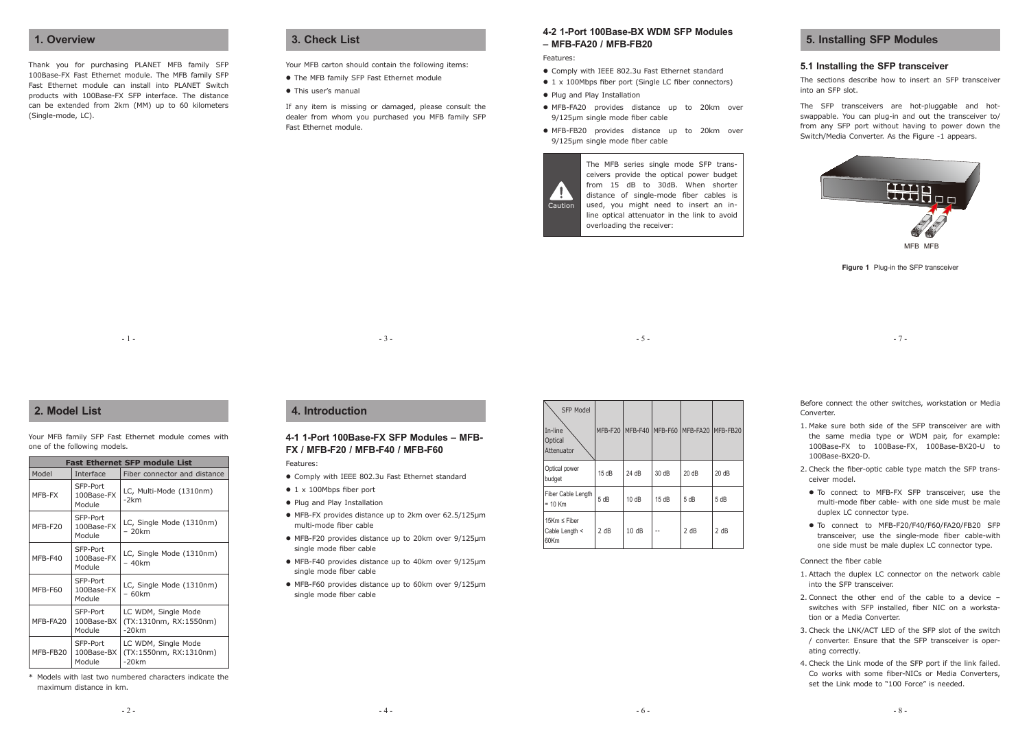# **1. Overview**

Thank you for purchasing PLANET MFB family SFP 100Base-FX Fast Ethernet module. The MFB family SFP Fast Ethernet module can install into PLANET Switch products with 100Base-FX SFP interface. The distance can be extended from 2km (MM) up to 60 kilometers (Single-mode, LC).

### **3. Check List**

Your MFB carton should contain the following items:

- The MFB family SFP Fast Ethernet module l
- This user's manual

If any item is missing or damaged, please consult the dealer from whom you purchased you MFB family SFP Fast Ethernet module.

# **4-2 1-Port 100Base-BX WDM SFP Modules – MFB-FA20 / MFB-FB20**

Features:

- Comply with IEEE 802.3u Fast Ethernet standard l
- 1 x 100Mbps fiber port (Single LC fiber connectors) l
- Plug and Play Installation
- MFB-FA20 provides distance up to 20km over l 9/125μm single mode fiber cable
- MFB-FB20 provides distance up to 20km over l 9/125μm single mode fiber cable



SFP Model

ceivers provide the optical power budget from 15 dB to 30dB. When shorter distance of single-mode fiber cables is used, you might need to insert an inline optical attenuator in the link to avoid overloading the receiver:

# **5. Installing SFP Modules**

#### **5.1 Installing the SFP transceiver**

The sections describe how to insert an SFP transceiver into an SFP slot.

The SFP transceivers are hot-pluggable and hotswappable. You can plug-in and out the transceiver to/ from any SFP port without having to power down the Switch/Media Converter. As the Figure -1 appears.



**Figure 1** Plug-in the SFP transceiver

- 7 -

 $-1 -$ 

| $-5-$ |  |
|-------|--|
|       |  |
|       |  |
|       |  |

Before connect the other switches, workstation or Media

- 1. Make sure both side of the SFP transceiver are with the same media type or WDM pair, for example: 100Base-FX to 100Base-FX, 100Base-BX20-U to 100Base-BX20-D.
- 2. Check the fiber-optic cable type match the SFP transceiver model.
- To connect to MFB-FX SFP transceiver, use the multi-mode fiber cable- with one side must be male duplex LC connector type.
- To connect to MFB-F20/F40/F60/FA20/FB20 SFP ltransceiver, use the single-mode fiber cable-with one side must be male duplex LC connector type.

#### Connect the fiber cable

Converter.

- 1. Attach the duplex LC connector on the network cable into the SFP transceiver.
- 2. Connect the other end of the cable to a device switches with SFP installed, fiber NIC on a workstation or a Media Converter.
- 3. Check the LNK/ACT LED of the SFP slot of the switch / converter. Ensure that the SFP transceiver is operating correctly.
- 4. Check the Link mode of the SFP port if the link failed. Co works with some fiber-NICs or Media Converters, set the Link mode to "100 Force" is needed.

# **2. Model List**

Your MFB family SFP Fast Ethernet module comes with one of the following models.

| <b>Fast Ethernet SFP module List</b>         |                                  |                                                           |  |  |
|----------------------------------------------|----------------------------------|-----------------------------------------------------------|--|--|
| Model                                        | Interface                        | Fiber connector and distance                              |  |  |
| MFB-FX                                       | SFP-Port<br>100Base-FX<br>Module | LC, Multi-Mode (1310nm)<br>$-2km$                         |  |  |
| MFB-F20                                      | SFP-Port<br>100Base-FX<br>Module | LC, Single Mode (1310nm)<br>- 20km                        |  |  |
| MFB-F40                                      | SFP-Port<br>100Base-FX<br>Module | LC, Single Mode (1310nm)<br>- 40km                        |  |  |
| MFB-F60                                      | SFP-Port<br>100Base-FX<br>Module | LC, Single Mode (1310nm)<br>- 60km                        |  |  |
| SFP-Port<br>MFB-FA20<br>100Base-BX<br>Module |                                  | LC WDM, Single Mode<br>(TX:1310nm, RX:1550nm)<br>$-20km$  |  |  |
| MFB-FB20                                     | SFP-Port<br>100Base-BX<br>Module | LC WDM, Single Mode<br>(TX:1550nm, RX:1310nm)<br>$-20$ km |  |  |

\* Models with last two numbered characters indicate the maximum distance in km.

## **4. Introduction**

## **4-1 1-Port 100Base-FX SFP Modules – MFB-FX / MFB-F20 / MFB-F40 / MFB-F60**

 $-3 -$ 

#### Features:

- Comply with IEEE 802.3u Fast Ethernet standard l
- 1 x 100Mbps fiber port
- Plug and Play Installation
- MFB-FX provides distance up to 2km over 62.5/125μm l multi-mode fiber cable
- MFB-F20 provides distance up to 20km over 9/125μm l single mode fiber cable
- MFB-F40 provides distance up to 40km over 9/125μm l single mode fiber cable
- MFB-F60 provides distance up to 60km over 9/125μm l single mode fiber cable

| In-line<br>Optical<br>Attenuator            |      |       |       | MFB-F20 MFB-F40 MFB-F60 MFB-FA20 MFB-FB20 |      |
|---------------------------------------------|------|-------|-------|-------------------------------------------|------|
| Optical power<br>budget                     | 15dB | 24 dB | 30 dB | 20dB                                      | 20dB |
| Fiber Cable Length<br>$= 10$ Km             | 5 dB | 10dB  | 15dB  | 5 dB                                      | 5 dB |
| 15Km $\leq$ Fiber<br>Cable Length <<br>60Km | 2 dB | 10dB  |       | 2 dB                                      | 2 dB |